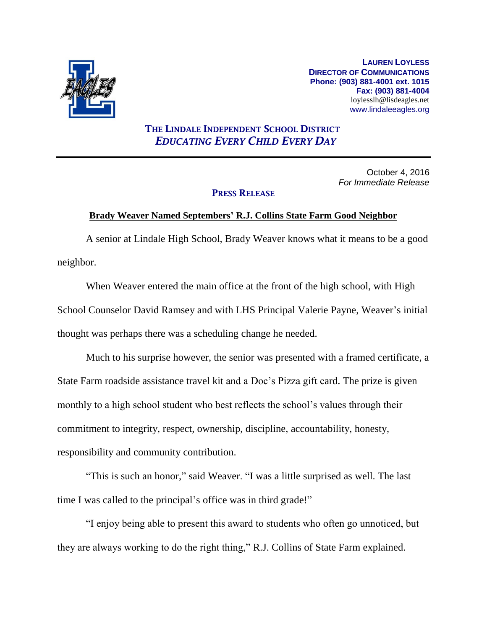

**LAUREN LOYLESS DIRECTOR OF COMMUNICATIONS Phone: (903) 881-4001 ext. 1015 Fax: (903) 881-4004** loylesslh@lisdeagles.net www.lindaleeagles.org

## **THE LINDALE INDEPENDENT SCHOOL DISTRICT** *EDUCATING EVERY CHILD EVERY DAY*

October 4, 2016 *For Immediate Release*

## **PRESS RELEASE**

## **Brady Weaver Named Septembers' R.J. Collins State Farm Good Neighbor**

A senior at Lindale High School, Brady Weaver knows what it means to be a good neighbor.

When Weaver entered the main office at the front of the high school, with High School Counselor David Ramsey and with LHS Principal Valerie Payne, Weaver's initial thought was perhaps there was a scheduling change he needed.

Much to his surprise however, the senior was presented with a framed certificate, a State Farm roadside assistance travel kit and a Doc's Pizza gift card. The prize is given monthly to a high school student who best reflects the school's values through their commitment to integrity, respect, ownership, discipline, accountability, honesty, responsibility and community contribution.

"This is such an honor," said Weaver. "I was a little surprised as well. The last time I was called to the principal's office was in third grade!"

"I enjoy being able to present this award to students who often go unnoticed, but they are always working to do the right thing," R.J. Collins of State Farm explained.